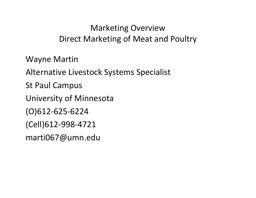# Marketing Overview Direct Marketing of Meat and Poultry

Wayne Martin

Alternative Livestock Systems Specialist

St Paul Campus

University of Minnesota

(O)612‐625‐6224

(Cell)612‐998‐4721

marti067@umn.edu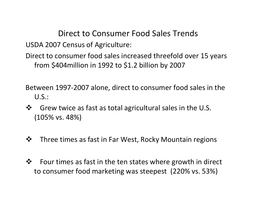Direct to Consumer Food Sales Trends

USDA 2007 Census of Agriculture:

Direct to consumer food sales increased threefold over 15 years from \$404million in 1992 to \$1.2 billion by 2007

Between 1997‐2007 alone, direct to consumer food sales in the U.S.:

- $\frac{1}{2}$  Grew twice as fast as total agricultural sales in the U.S. (105% vs. 48%)
- $\frac{1}{2}$ Three times as fast in Far West, Rocky Mountain regions
- $\frac{1}{2}$  Four times as fast in the ten states where growth in direct to consumer food marketing was steepest (220% vs. 53%)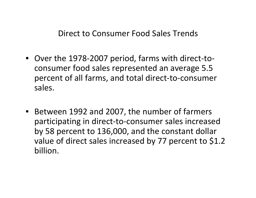#### Direct to Consumer Food Sales Trends

- Over the 1978‐2007 period, farms with direct‐to‐ consumer food sales represented an average 5.5 percent of all farms, and total direct‐to‐consumer sales.
- Between 1992 and 2007, the number of farmers participating in direct‐to‐consumer sales increased by 58 percent to 136,000, and the constant dollar value of direct sales increased by <sup>77</sup> percent to \$1.2 billion.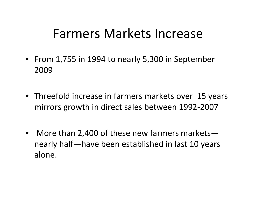# Farmers Markets Increase

- From 1,755 in 1994 to nearly 5,300 in September 2009
- Threefold increase in farmers markets over 15 years mirrors growth in direct sales between 1992‐2007
- More than 2,400 of these new farmers markets nearly half—have been established in last 10 years alone.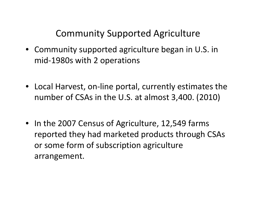Community Supported Agriculture

- Community supported agriculture began in U.S. in mid‐1980s with 2 operations
- Local Harvest, on‐line portal, currently estimates the number of CSAs in the U.S. at almost 3,400. (2010)
- In the 2007 Census of Agriculture, 12,549 farms reported they had marketed products through CSAs or some form of subscription agriculture arrangement.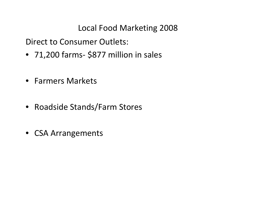Local Food Marketing 2008

Direct to Consumer Outlets:

- 71,200 farms \$877 million in sales
- Farmers Markets
- Roadside Stands/Farm Stores
- CSA Arrangements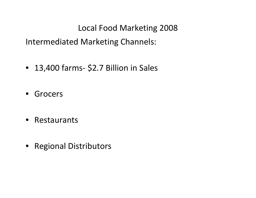Local Food Marketing 2008

Intermediated Marketing Channels:

- 13,400 farms \$2.7 Billion in Sales
- **Grocers**
- Restaurants
- Regional Distributors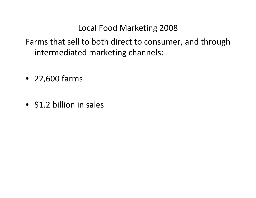Local Food Marketing 2008

Farms that sell to both direct to consumer, and through intermediated marketing channels:

- 22,600 farms
- \$1.2 billion in sales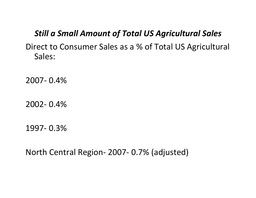#### *Still a Small Amount of Total US Agricultural Sales*

Direct to Consumer Sales as <sup>a</sup> % of Total US Agricultural Sales:

2007‐ 0.4%

2002‐ 0.4%

1997‐ 0.3%

North Central Region‐ 2007‐ 0.7% (adjusted)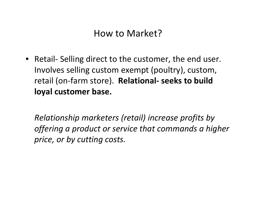# How to Market?

• Retail‐ Selling direct to the customer, the end user. Involves selling custom exempt (poultry), custom, retail (on‐farm store). **Relational‐ seeks to build loyal customer base.**

*Relationship marketers (retail) increase profits by offering <sup>a</sup> product or service that commands <sup>a</sup> higher price, or by cutting costs.*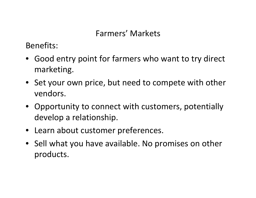# Farmers' Markets

Benefits:

- Good entry point for farmers who want to try direct marketing.
- Set your own price, but need to compete with other vendors.
- Opportunity to connect with customers, potentially develop <sup>a</sup> relationship.
- Learn about customer preferences.
- Sell what you have available. No promises on other products.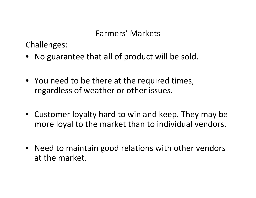# Farmers' Markets

Challenges:

- No guarantee that all of product will be sold.
- You need to be there at the required times, regardless of weather or other issues.
- Customer loyalty hard to win and keep. They may be more loyal to the market than to individual vendors.
- Need to maintain good relations with other vendors at the market.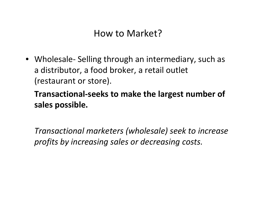# How to Market?

• Wholesale‐ Selling through an intermediary, such as a distributor, <sup>a</sup> food broker, <sup>a</sup> retail outlet (restaurant or store).

**Transactional‐seeks to make the largest number of sales possible.**

*Transactional marketers (wholesale) seek to increase profits by increasing sales or decreasing costs.*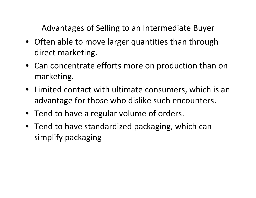Advantages of Selling to an Intermediate Buyer

- Often able to move larger quantities than through direct marketing.
- Can concentrate efforts more on production than on marketing.
- Limited contact with ultimate consumers, which is an advantage for those who dislike such encounters.
- Tend to have <sup>a</sup> regular volume of orders.
- Tend to have standardized packaging, which can simplify packaging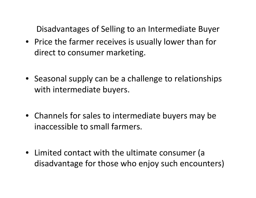Disadvantages of Selling to an Intermediate Buyer

- Price the farmer receives is usually lower than for direct to consumer marketing.
- Seasonal supply can be <sup>a</sup> challenge to relationships with intermediate buyers.
- Channels for sales to intermediate buyers may be inaccessible to small farmers.
- Limited contact with the ultimate consumer (a disadvantage for those who enjoy such encounters)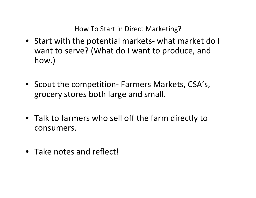How To Start in Direct Marketing?

- Start with the potential markets‐ what market do I want to serve? (What do I want to produce, and how.)
- Scout the competition‐ Farmers Markets, CSA's, grocery stores both large and small.
- Talk to farmers who sell off the farm directly to consumers.
- Take notes and reflect!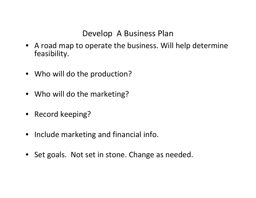#### Develop A Business Plan

- A road map to operate the business. Will help determine feasibility.
- Who will do the production?
- Who will do the marketing?
- Record keeping?
- Include marketing and financial info.
- Set goals. Not set in stone. Change as needed.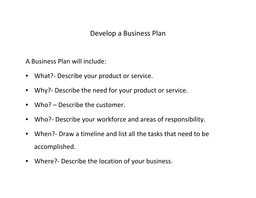#### Develop <sup>a</sup> Business Plan

A Business Plan will include:

- What?‐ Describe your product or service.
- Why?- Describe the need for your product or service.
- Who? Describe the customer.
- Who?‐ Describe your workforce and areas of responsibility.
- When?‐ Draw <sup>a</sup> timeline and list all the tasks that need to be accomplished.
- Where?‐ Describe the location of your business.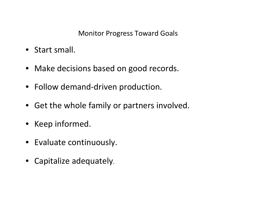#### Monitor Progress Toward Goals

- Start small.
- Make decisions based on good records.
- Follow demand‐driven production.
- Get the whole family or partners involved.
- Keep informed.
- Evaluate continuously.
- Capitalize adequately.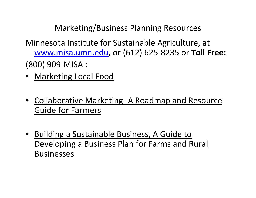Marketing/Business Planning Resources

- Minnesota Institute for Sustainable Agriculture, at [www.misa.umn.edu,](http://www.misa.umn.edu/) or (612) 625‐8235 or **Toll Free:** (800) 909‐MISA :
- Marketing Local Food
- Collaborative Marketing- A Roadmap and Resource Guide for Farmers
- Building <sup>a</sup> Sustainable Business, A Guide to Developing <sup>a</sup> Business Plan for Farms and Rural Businesses